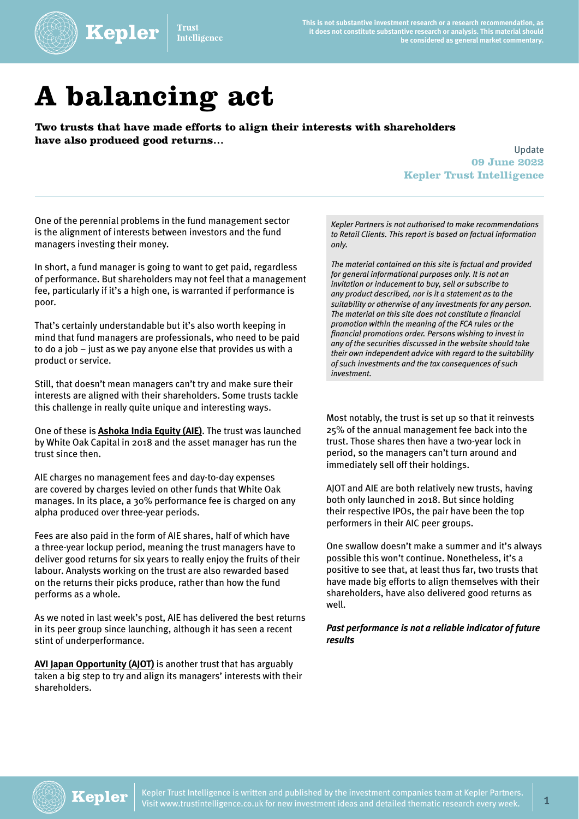

'rust **Intelligence**  **This is not substantive investment research or a research recommendation, as it does not constitute substantive research or analysis. This material should be considered as general market commentary.**

## **A balancing act**

Kepler

**Two trusts that have made efforts to align their interests with shareholders have also produced good returns…**

Update **09 June 2022 Kepler Trust Intelligence**

One of the perennial problems in the fund management sector is the alignment of interests between investors and the fund managers investing their money.

In short, a fund manager is going to want to get paid, regardless of performance. But shareholders may not feel that a management fee, particularly if it's a high one, is warranted if performance is poor.

That's certainly understandable but it's also worth keeping in mind that fund managers are professionals, who need to be paid to do a job – just as we pay anyone else that provides us with a product or service.

Still, that doesn't mean managers can't try and make sure their interests are aligned with their shareholders. Some trusts tackle this challenge in really quite unique and interesting ways.

One of these is **[Ashoka India Equity \(AIE\)](https://www.trustintelligence.co.uk/investor/articles/fund-research-investor-ashoka-india-equity-retail-jun-2022)**. The trust was launched by White Oak Capital in 2018 and the asset manager has run the trust since then.

AIE charges no management fees and day-to-day expenses are covered by charges levied on other funds that White Oak manages. In its place, a 30% performance fee is charged on any alpha produced over three-year periods.

Fees are also paid in the form of AIE shares, half of which have a three-year lockup period, meaning the trust managers have to deliver good returns for six years to really enjoy the fruits of their labour. Analysts working on the trust are also rewarded based on the returns their picks produce, rather than how the fund performs as a whole.

As we noted in last week's post, AIE has delivered the best returns in its peer group since launching, although it has seen a recent stint of underperformance.

**[AVI Japan Opportunity \(AJOT\)](https://www.trustintelligence.co.uk/investor/articles/fund-research-investor-avi-japan-opportunity-retail-nov-2021)** is another trust that has arguably taken a big step to try and align its managers' interests with their shareholders.

*Kepler Partners is not authorised to make recommendations to Retail Clients. This report is based on factual information only.* 

*The material contained on this site is factual and provided for general informational purposes only. It is not an invitation or inducement to buy, sell or subscribe to any product described, nor is it a statement as to the suitability or otherwise of any investments for any person. The material on this site does not constitute a financial promotion within the meaning of the FCA rules or the financial promotions order. Persons wishing to invest in any of the securities discussed in the website should take their own independent advice with regard to the suitability of such investments and the tax consequences of such investment.* 

Most notably, the trust is set up so that it reinvests 25% of the annual management fee back into the trust. Those shares then have a two-year lock in period, so the managers can't turn around and immediately sell off their holdings.

AJOT and AIE are both relatively new trusts, having both only launched in 2018. But since holding their respective IPOs, the pair have been the top performers in their AIC peer groups.

One swallow doesn't make a summer and it's always possible this won't continue. Nonetheless, it's a positive to see that, at least thus far, two trusts that have made big efforts to align themselves with their shareholders, have also delivered good returns as well.

## *Past performance is not a reliable indicator of future results*